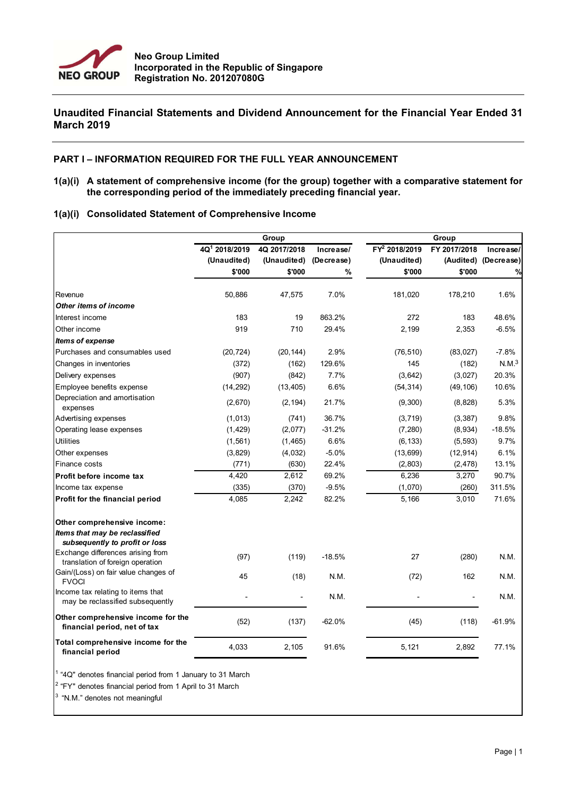

## **Unaudited Financial Statements and Dividend Announcement for the Financial Year Ended 31 March 2019**

#### **PART I – INFORMATION REQUIRED FOR THE FULL YEAR ANNOUNCEMENT**

**1(a)(i) A statement of comprehensive income (for the group) together with a comparative statement for the corresponding period of the immediately preceding financial year.**

## **1(a)(i) Consolidated Statement of Comprehensive Income**

|                                                                                                                                      |                                            | Group                       |                         |                                            |                           |                         |  |
|--------------------------------------------------------------------------------------------------------------------------------------|--------------------------------------------|-----------------------------|-------------------------|--------------------------------------------|---------------------------|-------------------------|--|
|                                                                                                                                      | $\overline{4Q^1}$ 2018/2019<br>(Unaudited) | 4Q 2017/2018<br>(Unaudited) | Increase/<br>(Decrease) | $\overline{FY^2}$ 2018/2019<br>(Unaudited) | FY 2017/2018<br>(Audited) | Increase/<br>(Decrease) |  |
|                                                                                                                                      | \$'000                                     | \$'000                      | %                       | \$'000                                     | \$'000                    | %                       |  |
| Revenue                                                                                                                              | 50,886                                     | 47,575                      | 7.0%                    | 181,020                                    | 178,210                   | 1.6%                    |  |
| Other items of income                                                                                                                |                                            |                             |                         |                                            |                           |                         |  |
| Interest income                                                                                                                      | 183                                        | 19                          | 863.2%                  | 272                                        | 183                       | 48.6%                   |  |
| Other income                                                                                                                         | 919                                        | 710                         | 29.4%                   | 2,199                                      | 2,353                     | $-6.5%$                 |  |
| <b>Items of expense</b>                                                                                                              |                                            |                             |                         |                                            |                           |                         |  |
| Purchases and consumables used                                                                                                       | (20, 724)                                  | (20, 144)                   | 2.9%                    | (76, 510)                                  | (83, 027)                 | $-7.8%$                 |  |
| Changes in inventories                                                                                                               | (372)                                      | (162)                       | 129.6%                  | 145                                        | (182)                     | N.M. <sup>3</sup>       |  |
| Delivery expenses                                                                                                                    | (907)                                      | (842)                       | 7.7%                    | (3,642)                                    | (3,027)                   | 20.3%                   |  |
| Employee benefits expense                                                                                                            | (14, 292)                                  | (13, 405)                   | 6.6%                    | (54, 314)                                  | (49, 106)                 | 10.6%                   |  |
| Depreciation and amortisation<br>expenses                                                                                            | (2,670)                                    | (2, 194)                    | 21.7%                   | (9,300)                                    | (8,828)                   | 5.3%                    |  |
| Advertising expenses                                                                                                                 | (1,013)                                    | (741)                       | 36.7%                   | (3,719)                                    | (3, 387)                  | 9.8%                    |  |
| Operating lease expenses                                                                                                             | (1, 429)                                   | (2,077)                     | $-31.2%$                | (7, 280)                                   | (8,934)                   | $-18.5%$                |  |
| <b>Utilities</b>                                                                                                                     | (1, 561)                                   | (1, 465)                    | 6.6%                    | (6, 133)                                   | (5, 593)                  | 9.7%                    |  |
| Other expenses                                                                                                                       | (3,829)                                    | (4,032)                     | $-5.0%$                 | (13,699)                                   | (12, 914)                 | 6.1%                    |  |
| Finance costs                                                                                                                        | (771)                                      | (630)                       | 22.4%                   | (2,803)                                    | (2, 478)                  | 13.1%                   |  |
| Profit before income tax                                                                                                             | 4,420                                      | 2,612                       | 69.2%                   | 6,236                                      | 3,270                     | 90.7%                   |  |
| Income tax expense                                                                                                                   | (335)                                      | (370)                       | $-9.5%$                 | (1,070)                                    | (260)                     | 311.5%                  |  |
| Profit for the financial period                                                                                                      | 4,085                                      | 2,242                       | 82.2%                   | 5,166                                      | 3,010                     | 71.6%                   |  |
| Other comprehensive income:<br>Items that may be reclassified<br>subsequently to profit or loss<br>Exchange differences arising from | (97)                                       | (119)                       | $-18.5%$                | 27                                         | (280)                     | N.M.                    |  |
| translation of foreign operation                                                                                                     |                                            |                             |                         |                                            |                           |                         |  |
| Gain/(Loss) on fair value changes of<br><b>FVOCI</b>                                                                                 | 45                                         | (18)                        | N.M.                    | (72)                                       | 162                       | N.M.                    |  |
| Income tax relating to items that<br>may be reclassified subsequently                                                                |                                            |                             | N.M.                    |                                            |                           | N.M.                    |  |
| Other comprehensive income for the<br>financial period, net of tax                                                                   | (52)                                       | (137)                       | $-62.0%$                | (45)                                       | (118)                     | $-61.9%$                |  |
| Total comprehensive income for the<br>financial period                                                                               | 4,033                                      | 2,105                       | 91.6%                   | 5,121                                      | 2,892                     | 77.1%                   |  |

<sup>1</sup> "4Q" denotes financial period from 1 January to 31 March

 $2$  "FY" denotes financial period from 1 April to 31 March

 $3$  "N.M." denotes not meaningful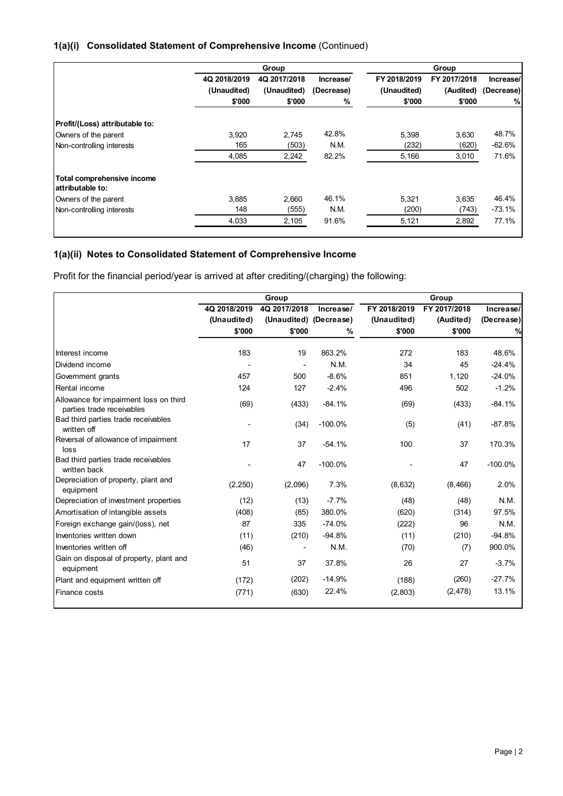## **1(a)(i) Consolidated Statement of Comprehensive Income** (Continued)

|                                                |              | Group        |            |              | Group        |            |
|------------------------------------------------|--------------|--------------|------------|--------------|--------------|------------|
|                                                | 4Q 2018/2019 | 4Q 2017/2018 | Increase/  | FY 2018/2019 | FY 2017/2018 | Increase/  |
|                                                | (Unaudited)  | (Unaudited)  | (Decrease) | (Unaudited)  | (Audited)    | (Decrease) |
|                                                | \$'000       | \$'000       | %          | \$'000       | \$'000       | %          |
| Profit/(Loss) attributable to:                 |              |              |            |              |              |            |
| Owners of the parent                           | 3,920        | 2,745        | 42.8%      | 5,398        | 3,630        | 48.7%      |
| Non-controlling interests                      | 165          | (503)        | N.M.       | (232)        | (620)        | $-62.6%$   |
|                                                | 4,085        | 2,242        | 82.2%      | 5,166        | 3,010        | 71.6%      |
| Total comprehensive income<br>attributable to: |              |              |            |              |              |            |
| Owners of the parent                           | 3.885        | 2.660        | 46.1%      | 5.321        | 3.635        | 46.4%      |
| Non-controlling interests                      | 148          | (555)        | N.M.       | (200)        | (743)        | $-73.1%$   |
|                                                | 4,033        | 2,105        | 91.6%      | 5,121        | 2,892        | 77.1%      |
|                                                |              |              |            |              |              |            |

## **1(a)(ii) Notes to Consolidated Statement of Comprehensive Income**

Profit for the financial period/year is arrived at after crediting/(charging) the following:

|                                                                     | Group        |                        |           | Group        |              |            |  |
|---------------------------------------------------------------------|--------------|------------------------|-----------|--------------|--------------|------------|--|
|                                                                     | 4Q 2018/2019 | 4Q 2017/2018           | Increase/ | FY 2018/2019 | FY 2017/2018 | Increase/  |  |
|                                                                     | (Unaudited)  | (Unaudited) (Decrease) |           | (Unaudited)  | (Audited)    | (Decrease) |  |
|                                                                     | \$'000       | \$'000                 | %         | \$'000       | \$'000       |            |  |
|                                                                     |              |                        |           |              |              |            |  |
| Interest income                                                     | 183          | 19                     | 863.2%    | 272          | 183          | 48.6%      |  |
| Dividend income                                                     |              |                        | N.M.      | 34           | 45           | $-24.4%$   |  |
| Government grants                                                   | 457          | 500                    | $-8.6%$   | 851          | 1,120        | $-24.0%$   |  |
| Rental income                                                       | 124          | 127                    | $-2.4%$   | 496          | 502          | $-1.2%$    |  |
| Allowance for impairment loss on third<br>parties trade receivables | (69)         | (433)                  | $-84.1%$  | (69)         | (433)        | $-84.1%$   |  |
| Bad third parties trade receivables<br>written off                  |              | (34)                   | $-100.0%$ | (5)          | (41)         | $-87.8%$   |  |
| Reversal of allowance of impairment<br>loss                         | 17           | 37                     | $-54.1%$  | 100          | 37           | 170.3%     |  |
| Bad third parties trade receivables<br>written back                 |              | 47                     | $-100.0%$ |              | 47           | $-100.0%$  |  |
| Depreciation of property, plant and<br>equipment                    | (2, 250)     | (2,096)                | 7.3%      | (8,632)      | (8, 466)     | 2.0%       |  |
| Depreciation of investment properties                               | (12)         | (13)                   | $-7.7%$   | (48)         | (48)         | N.M.       |  |
| Amortisation of intangible assets                                   | (408)        | (85)                   | 380.0%    | (620)        | (314)        | 97.5%      |  |
| Foreign exchange gain/(loss), net                                   | 87           | 335                    | $-74.0%$  | (222)        | 96           | N.M.       |  |
| Inventories written down                                            | (11)         | (210)                  | $-94.8%$  | (11)         | (210)        | $-94.8%$   |  |
| Inventories written off                                             | (46)         |                        | N.M.      | (70)         | (7)          | 900.0%     |  |
| Gain on disposal of property, plant and<br>equipment                | 51           | 37                     | 37.8%     | 26           | 27           | $-3.7%$    |  |
| Plant and equipment written off                                     | (172)        | (202)                  | $-14.9%$  | (188)        | (260)        | $-27.7%$   |  |
| Finance costs                                                       | (771)        | (630)                  | 22.4%     | (2,803)      | (2, 478)     | 13.1%      |  |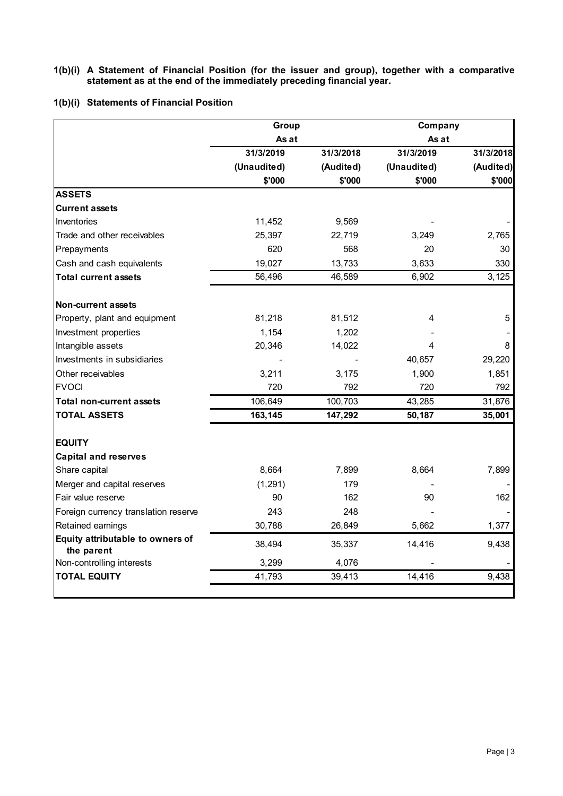#### **1(b)(i) A Statement of Financial Position (for the issuer and group), together with a comparative statement as at the end of the immediately preceding financial year.**

## **1(b)(i) Statements of Financial Position**

|                                                | Group       |           | Company     |           |
|------------------------------------------------|-------------|-----------|-------------|-----------|
|                                                | As at       |           | As at       |           |
|                                                | 31/3/2019   | 31/3/2018 | 31/3/2019   | 31/3/2018 |
|                                                | (Unaudited) | (Audited) | (Unaudited) | (Audited) |
|                                                | \$'000      | \$'000    | \$'000      | \$'000    |
| <b>ASSETS</b>                                  |             |           |             |           |
| <b>Current assets</b>                          |             |           |             |           |
| Inventories                                    | 11,452      | 9,569     |             |           |
| Trade and other receivables                    | 25,397      | 22,719    | 3,249       | 2,765     |
| Prepayments                                    | 620         | 568       | 20          | 30        |
| Cash and cash equivalents                      | 19,027      | 13,733    | 3,633       | 330       |
| <b>Total current assets</b>                    | 56,496      | 46,589    | 6,902       | 3,125     |
| <b>Non-current assets</b>                      |             |           |             |           |
| Property, plant and equipment                  | 81,218      | 81,512    | 4           | 5         |
| Investment properties                          | 1,154       | 1,202     |             |           |
| Intangible assets                              | 20,346      | 14,022    | 4           | 8         |
| Investments in subsidiaries                    |             |           | 40,657      | 29,220    |
| Other receivables                              | 3,211       | 3,175     | 1,900       | 1,851     |
| <b>FVOCI</b>                                   | 720         | 792       | 720         | 792       |
| <b>Total non-current assets</b>                | 106,649     | 100,703   | 43,285      | 31,876    |
| <b>TOTAL ASSETS</b>                            | 163,145     | 147,292   | 50,187      | 35,001    |
| <b>EQUITY</b>                                  |             |           |             |           |
| <b>Capital and reserves</b>                    |             |           |             |           |
| Share capital                                  | 8,664       | 7,899     | 8,664       | 7,899     |
| Merger and capital reserves                    | (1, 291)    | 179       |             |           |
| Fair value reserve                             | 90          | 162       | 90          | 162       |
| Foreign currency translation reserve           | 243         | 248       |             |           |
| Retained earnings                              | 30,788      | 26,849    | 5,662       | 1,377     |
| Equity attributable to owners of<br>the parent | 38,494      | 35,337    | 14,416      | 9,438     |
| Non-controlling interests                      | 3,299       | 4,076     |             |           |
| <b>TOTAL EQUITY</b>                            | 41,793      | 39,413    | 14,416      | 9.438     |
|                                                |             |           |             |           |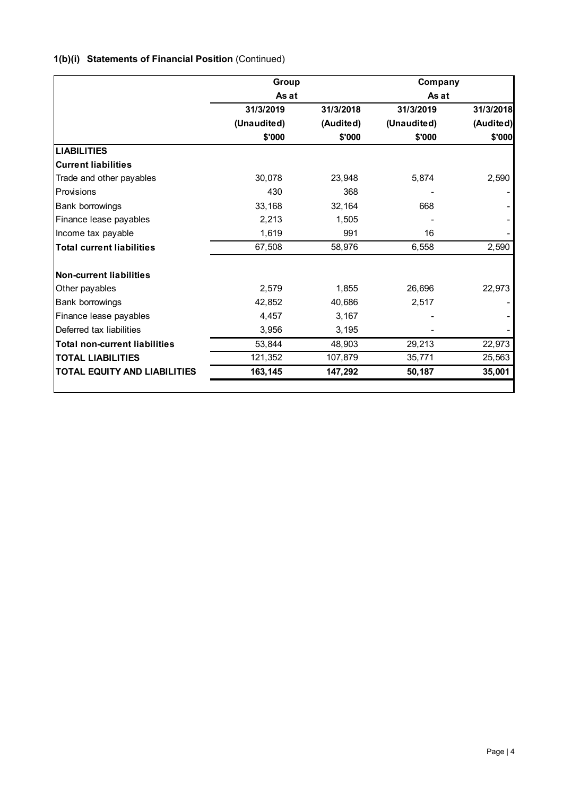# **1(b)(i) Statements of Financial Position** (Continued)

|                                      | Group       |           | Company     |           |  |
|--------------------------------------|-------------|-----------|-------------|-----------|--|
|                                      | As at       |           | As at       |           |  |
|                                      | 31/3/2019   | 31/3/2018 | 31/3/2019   | 31/3/2018 |  |
|                                      | (Unaudited) | (Audited) | (Unaudited) | (Audited) |  |
|                                      | \$'000      | \$'000    | \$'000      | \$'000    |  |
| <b>LIABILITIES</b>                   |             |           |             |           |  |
| <b>Current liabilities</b>           |             |           |             |           |  |
| Trade and other payables             | 30,078      | 23,948    | 5,874       | 2,590     |  |
| Provisions                           | 430         | 368       |             |           |  |
| <b>Bank borrowings</b>               | 33,168      | 32,164    | 668         |           |  |
| Finance lease payables               | 2,213       | 1,505     |             |           |  |
| Income tax payable                   | 1,619       | 991       | 16          |           |  |
| <b>Total current liabilities</b>     | 67,508      | 58,976    | 6,558       | 2,590     |  |
| <b>Non-current liabilities</b>       |             |           |             |           |  |
| Other payables                       | 2,579       | 1,855     | 26,696      | 22,973    |  |
| Bank borrowings                      | 42,852      | 40,686    | 2,517       |           |  |
| Finance lease payables               | 4,457       | 3,167     |             |           |  |
| Deferred tax liabilities             | 3.956       | 3,195     |             |           |  |
| <b>Total non-current liabilities</b> | 53,844      | 48,903    | 29,213      | 22,973    |  |
| <b>TOTAL LIABILITIES</b>             | 121,352     | 107,879   | 35,771      | 25,563    |  |
| <b>TOTAL EQUITY AND LIABILITIES</b>  | 163,145     | 147,292   | 50,187      | 35,001    |  |
|                                      |             |           |             |           |  |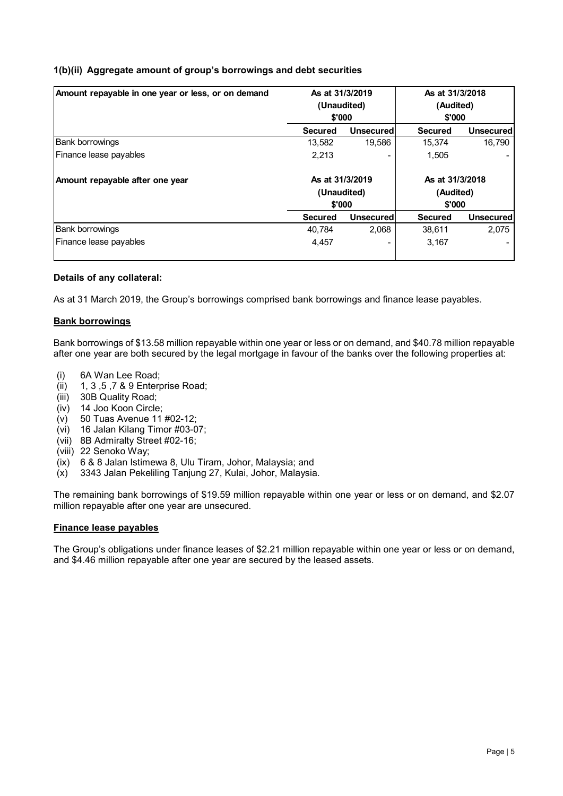## **1(b)(ii) Aggregate amount of group's borrowings and debt securities**

| Amount repayable in one year or less, or on demand | As at 31/3/2019<br>(Unaudited)<br>\$'000 |                  | As at 31/3/2018<br>(Audited)<br>\$'000 |                  |
|----------------------------------------------------|------------------------------------------|------------------|----------------------------------------|------------------|
|                                                    | <b>Secured</b>                           | <b>Unsecured</b> | <b>Secured</b>                         | Unsecured        |
| <b>Bank borrowings</b>                             | 13.582                                   | 19,586           | 15.374                                 | 16,790           |
| Finance lease payables                             | 2.213                                    |                  | 1,505                                  |                  |
| Amount repayable after one year                    | As at 31/3/2019<br>(Unaudited)           |                  | As at 31/3/2018<br>(Audited)           |                  |
|                                                    | \$'000                                   |                  | \$'000                                 |                  |
|                                                    | <b>Secured</b>                           | <b>Unsecured</b> | <b>Secured</b>                         | <b>Unsecured</b> |
| <b>Bank borrowings</b>                             | 40.784                                   | 2,068            | 38,611                                 | 2,075            |
| Finance lease payables                             | 4.457                                    | -                | 3,167                                  |                  |

#### **Details of any collateral:**

As at 31 March 2019, the Group's borrowings comprised bank borrowings and finance lease payables.

#### **Bank borrowings**

Bank borrowings of \$13.58 million repayable within one year or less or on demand, and \$40.78 million repayable after one year are both secured by the legal mortgage in favour of the banks over the following properties at:

- (i) 6A Wan Lee Road;
- (ii) 1, 3 ,5 ,7 & 9 Enterprise Road;
- (iii) 30B Quality Road;
- (iv) 14 Joo Koon Circle;
- $(v)$  50 Tuas Avenue 11 #02-12;
- (vi) 16 Jalan Kilang Timor #03-07;
- (vii) 8B Admiralty Street #02-16;
- (viii) 22 Senoko Way;
- (ix) 6 & 8 Jalan Istimewa 8, Ulu Tiram, Johor, Malaysia; and
- (x) 3343 Jalan Pekeliling Tanjung 27, Kulai, Johor, Malaysia.

The remaining bank borrowings of \$19.59 million repayable within one year or less or on demand, and \$2.07 million repayable after one year are unsecured.

#### **Finance lease payables**

The Group's obligations under finance leases of \$2.21 million repayable within one year or less or on demand, and \$4.46 million repayable after one year are secured by the leased assets.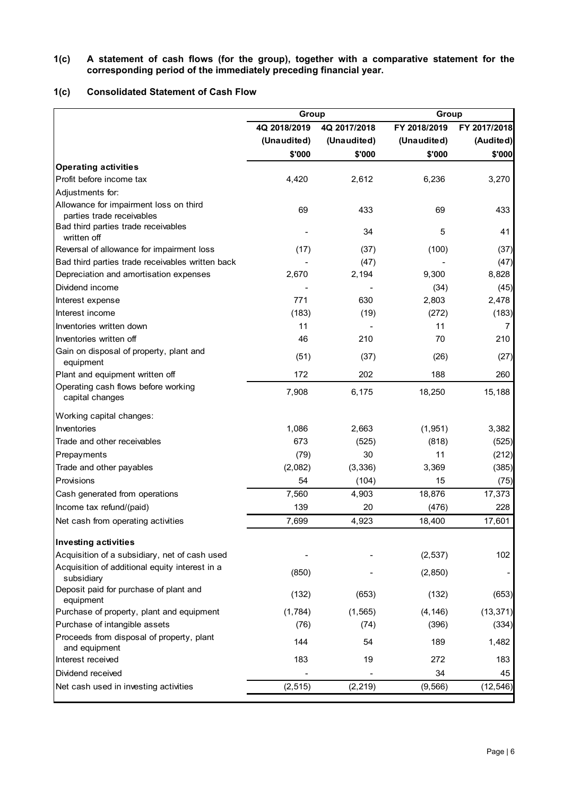#### **1(c) A statement of cash flows (for the group), together with a comparative statement for the corresponding period of the immediately preceding financial year.**

## **1(c) Consolidated Statement of Cash Flow**

|                                                                     | Group        |              | Group        |              |  |
|---------------------------------------------------------------------|--------------|--------------|--------------|--------------|--|
|                                                                     | 4Q 2018/2019 | 4Q 2017/2018 | FY 2018/2019 | FY 2017/2018 |  |
|                                                                     | (Unaudited)  | (Unaudited)  | (Unaudited)  | (Audited)    |  |
|                                                                     | \$'000       | \$'000       | \$'000       | \$'000       |  |
| <b>Operating activities</b>                                         |              |              |              |              |  |
| Profit before income tax                                            | 4,420        | 2,612        | 6,236        | 3,270        |  |
| Adjustments for:                                                    |              |              |              |              |  |
| Allowance for impairment loss on third<br>parties trade receivables | 69           | 433          | 69           | 433          |  |
| Bad third parties trade receivables<br>written off                  |              | 34           | 5            | 41           |  |
| Reversal of allowance for impairment loss                           | (17)         | (37)         | (100)        | (37)         |  |
| Bad third parties trade receivables written back                    |              | (47)         |              | (47)         |  |
| Depreciation and amortisation expenses                              | 2,670        | 2,194        | 9,300        | 8,828        |  |
| Dividend income                                                     |              |              | (34)         | (45)         |  |
| Interest expense                                                    | 771          | 630          | 2,803        | 2,478        |  |
| Interest income                                                     | (183)        | (19)         | (272)        | (183)        |  |
| Inventories written down                                            | 11           |              | 11           | 7            |  |
| Inventories written off                                             | 46           | 210          | 70           | 210          |  |
| Gain on disposal of property, plant and<br>equipment                | (51)         | (37)         | (26)         | (27)         |  |
| Plant and equipment written off                                     | 172          | 202          | 188          | 260          |  |
| Operating cash flows before working<br>capital changes              | 7,908        | 6,175        | 18,250       | 15,188       |  |
| Working capital changes:                                            |              |              |              |              |  |
| Inventories                                                         | 1,086        | 2,663        | (1,951)      | 3,382        |  |
| Trade and other receivables                                         | 673          | (525)        | (818)        | (525)        |  |
| Prepayments                                                         | (79)         | 30           | 11           | (212)        |  |
| Trade and other payables                                            | (2,082)      | (3,336)      | 3,369        | (385)        |  |
| Provisions                                                          | 54           | (104)        | 15           | (75)         |  |
| Cash generated from operations                                      | 7,560        | 4,903        | 18,876       | 17,373       |  |
| Income tax refund/(paid)                                            | 139          | 20           | (476)        | 228          |  |
| Net cash from operating activities                                  | 7,699        | 4,923        | 18,400       | 17,601       |  |
| <b>Investing activities</b>                                         |              |              |              |              |  |
| Acquisition of a subsidiary, net of cash used                       |              |              | (2, 537)     | 102          |  |
| Acquisition of additional equity interest in a<br>subsidiary        | (850)        |              | (2, 850)     |              |  |
| Deposit paid for purchase of plant and<br>equipment                 | (132)        | (653)        | (132)        | (653)        |  |
| Purchase of property, plant and equipment                           | (1,784)      | (1, 565)     | (4, 146)     | (13, 371)    |  |
| Purchase of intangible assets                                       | (76)         | (74)         | (396)        | (334)        |  |
| Proceeds from disposal of property, plant<br>and equipment          | 144          | 54           | 189          | 1,482        |  |
| Interest received                                                   | 183          | 19           | 272          | 183          |  |
| Dividend received                                                   |              |              | 34           | 45           |  |
| Net cash used in investing activities                               | (2, 515)     | (2, 219)     | (9, 566)     | (12, 546)    |  |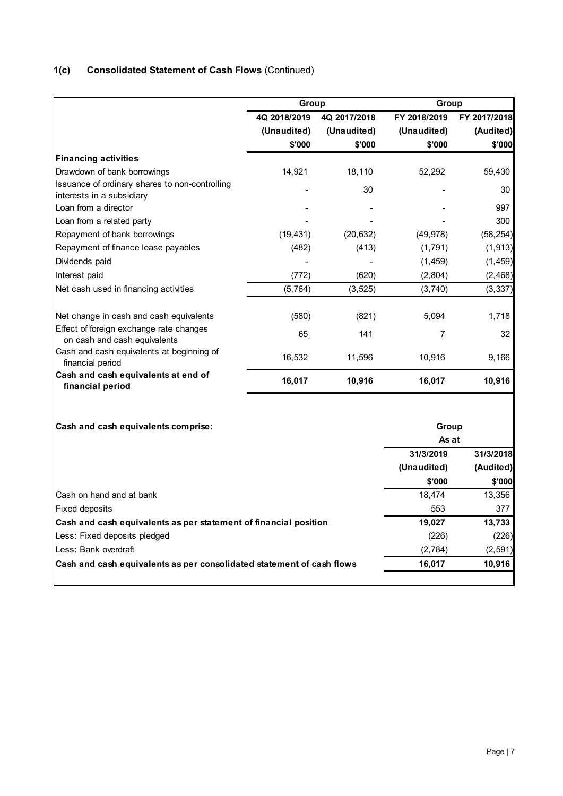# **1(c) Consolidated Statement of Cash Flows** (Continued)

|              |              | Group                                                                     |              |  |
|--------------|--------------|---------------------------------------------------------------------------|--------------|--|
| 4Q 2018/2019 | 4Q 2017/2018 | FY 2018/2019                                                              | FY 2017/2018 |  |
| (Unaudited)  | (Unaudited)  | (Unaudited)                                                               | (Audited)    |  |
| \$'000       | \$'000       | \$'000                                                                    | \$'000       |  |
|              |              |                                                                           |              |  |
| 14,921       | 18,110       | 52,292                                                                    | 59,430       |  |
|              | 30           |                                                                           | 30           |  |
|              |              |                                                                           | 997          |  |
|              |              |                                                                           | 300          |  |
| (19, 431)    | (20, 632)    | (49, 978)                                                                 | (58, 254)    |  |
| (482)        | (413)        | (1,791)                                                                   | (1, 913)     |  |
|              |              | (1, 459)                                                                  | (1, 459)     |  |
| (772)        | (620)        | (2,804)                                                                   | (2, 468)     |  |
| (5, 764)     | (3, 525)     | (3,740)                                                                   | (3, 337)     |  |
| (580)        | (821)        | 5,094                                                                     | 1,718        |  |
| 65           | 141          | $\overline{7}$                                                            | 32           |  |
| 16,532       | 11,596       | 10,916                                                                    | 9,166        |  |
| 16,017       | 10,916       | 16,017                                                                    | 10,916       |  |
|              |              | Group<br>As at                                                            |              |  |
|              |              | 31/3/2019                                                                 | 31/3/2018    |  |
|              |              | (Unaudited)                                                               | (Audited)    |  |
|              |              | \$'000                                                                    | \$'000       |  |
|              |              | 18,474                                                                    | 13,356       |  |
|              |              | 553                                                                       | 377          |  |
|              |              | 19,027                                                                    | 13,733       |  |
|              |              | (226)                                                                     | (226)        |  |
|              |              | (2,784)                                                                   | (2, 591)     |  |
|              |              | 16,017                                                                    | 10,916       |  |
|              |              | Group<br>Cash and cash equivalents as per statement of financial position |              |  |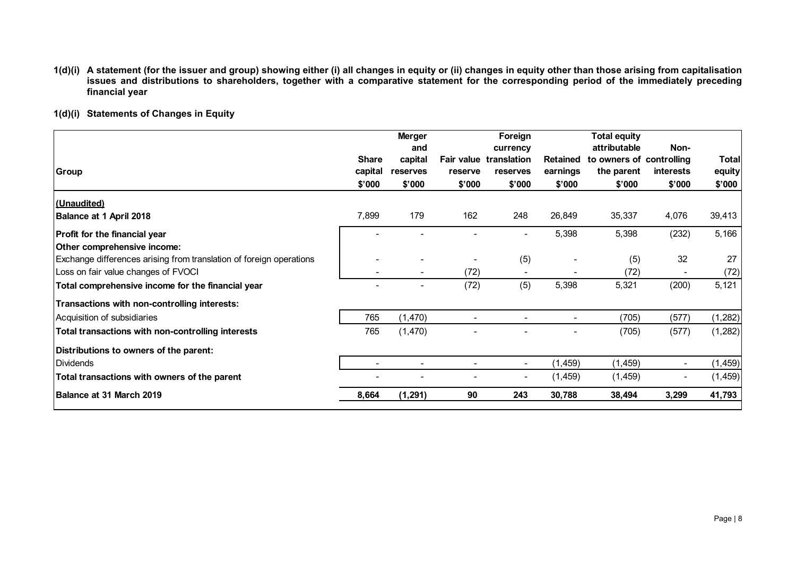- **1(d)(i) A statement (for the issuer and group) showing either (i) all changes in equity or (ii) changes in equity other than those arising from capitalisation issues and distributions to shareholders, together with a comparative statement for the corresponding period of the immediately preceding financial year**
- **1(d)(i) Statements of Changes in Equity**

|                                                                     |                         | <b>Merger</b><br>and     |         | Foreign<br>currency                       |                             | <b>Total equity</b><br>attributable    | Non-                     |                 |
|---------------------------------------------------------------------|-------------------------|--------------------------|---------|-------------------------------------------|-----------------------------|----------------------------------------|--------------------------|-----------------|
| <b>Group</b>                                                        | <b>Share</b><br>capital | capital<br>reserves      | reserve | <b>Fair value translation</b><br>reserves | <b>Retained</b><br>earnings | to owners of controlling<br>the parent | <b>interests</b>         | Total<br>equity |
|                                                                     | \$'000                  | \$'000                   | \$'000  | \$'000                                    | \$'000                      | \$'000                                 | \$'000                   | \$'000          |
| <u>(Unaudited)</u>                                                  |                         |                          |         |                                           |                             |                                        |                          |                 |
| Balance at 1 April 2018                                             | 7,899                   | 179                      | 162     | 248                                       | 26,849                      | 35,337                                 | 4,076                    | 39,413          |
| Profit for the financial year                                       |                         |                          |         | ٠                                         | 5,398                       | 5,398                                  | (232)                    | 5,166           |
| Other comprehensive income:                                         |                         |                          |         |                                           |                             |                                        |                          |                 |
| Exchange differences arising from translation of foreign operations |                         |                          |         | (5)                                       |                             | (5)                                    | 32                       | 27              |
| Loss on fair value changes of FVOCI                                 | -                       | $\overline{\phantom{0}}$ | (72)    |                                           |                             | (72)                                   |                          | (72)            |
| Total comprehensive income for the financial year                   |                         |                          | (72)    | (5)                                       | 5,398                       | 5,321                                  | (200)                    | 5,121           |
| Transactions with non-controlling interests:                        |                         |                          |         |                                           |                             |                                        |                          |                 |
| Acquisition of subsidiaries                                         | 765                     | (1,470)                  |         |                                           |                             | (705)                                  | (577)                    | (1, 282)        |
| Total transactions with non-controlling interests                   | 765                     | (1,470)                  |         |                                           |                             | (705)                                  | (577)                    | (1, 282)        |
| Distributions to owners of the parent:                              |                         |                          |         |                                           |                             |                                        |                          |                 |
| <b>Dividends</b>                                                    |                         |                          |         |                                           | (1, 459)                    | (1, 459)                               | $\overline{\phantom{a}}$ | (1, 459)        |
| Total transactions with owners of the parent                        |                         |                          |         | ۰                                         | (1, 459)                    | (1, 459)                               | $\overline{\phantom{a}}$ | (1, 459)        |
| Balance at 31 March 2019                                            | 8,664                   | (1, 291)                 | 90      | 243                                       | 30,788                      | 38,494                                 | 3,299                    | 41,793          |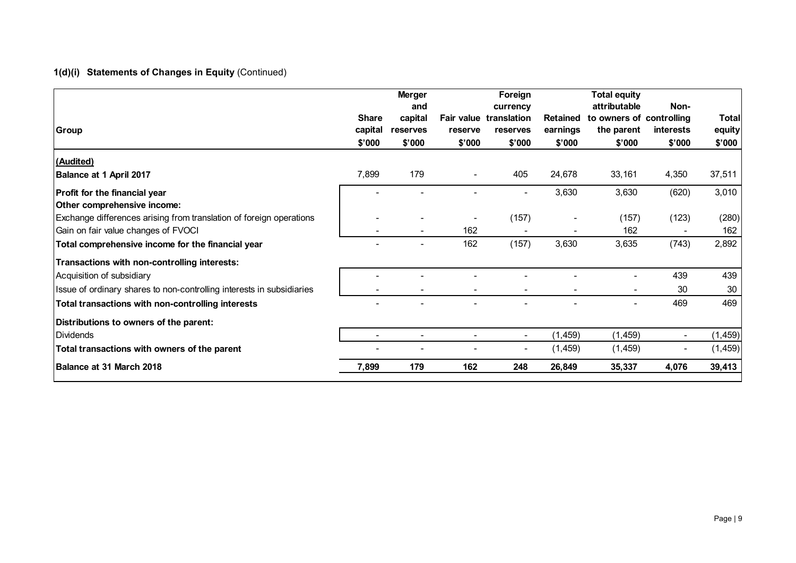# **1(d)(i) Statements of Changes in Equity** (Continued)

|                                                                       |                         | <b>Merger</b><br>and |                              | Foreign<br>currency     |                             | <b>Total equity</b><br>attributable    | Non-      |                 |
|-----------------------------------------------------------------------|-------------------------|----------------------|------------------------------|-------------------------|-----------------------------|----------------------------------------|-----------|-----------------|
| <b>Group</b>                                                          | <b>Share</b><br>capital | capital<br>reserves  | <b>Fair value</b><br>reserve | translation<br>reserves | <b>Retained</b><br>earnings | to owners of controlling<br>the parent | interests | Total<br>equity |
|                                                                       | \$'000                  | \$'000               | \$'000                       | \$'000                  | \$'000                      | \$'000                                 | \$'000    | \$'000          |
| (Audited)                                                             |                         |                      |                              |                         |                             |                                        |           |                 |
| Balance at 1 April 2017                                               | 7,899                   | 179                  |                              | 405                     | 24,678                      | 33,161                                 | 4,350     | 37,511          |
| Profit for the financial year                                         |                         |                      |                              |                         | 3,630                       | 3,630                                  | (620)     | 3,010           |
| Other comprehensive income:                                           |                         |                      |                              |                         |                             |                                        |           |                 |
| Exchange differences arising from translation of foreign operations   |                         |                      |                              | (157)                   |                             | (157)                                  | (123)     | (280)           |
| Gain on fair value changes of FVOCI                                   |                         |                      | 162                          |                         |                             | 162                                    |           | 162             |
| Total comprehensive income for the financial year                     |                         |                      | 162                          | (157)                   | 3,630                       | 3,635                                  | (743)     | 2,892           |
| Transactions with non-controlling interests:                          |                         |                      |                              |                         |                             |                                        |           |                 |
| Acquisition of subsidiary                                             |                         |                      |                              |                         |                             |                                        | 439       | 439             |
| Issue of ordinary shares to non-controlling interests in subsidiaries |                         |                      |                              |                         |                             |                                        | 30        | 30              |
| Total transactions with non-controlling interests                     |                         |                      |                              |                         |                             |                                        | 469       | 469             |
| Distributions to owners of the parent:                                |                         |                      |                              |                         |                             |                                        |           |                 |
| <b>Dividends</b>                                                      |                         |                      |                              |                         | (1, 459)                    | (1, 459)                               |           | (1, 459)        |
| Total transactions with owners of the parent                          |                         |                      |                              | $\blacksquare$          | (1, 459)                    | (1, 459)                               |           | (1, 459)        |
| Balance at 31 March 2018                                              | 7,899                   | 179                  | 162                          | 248                     | 26,849                      | 35,337                                 | 4,076     | 39,413          |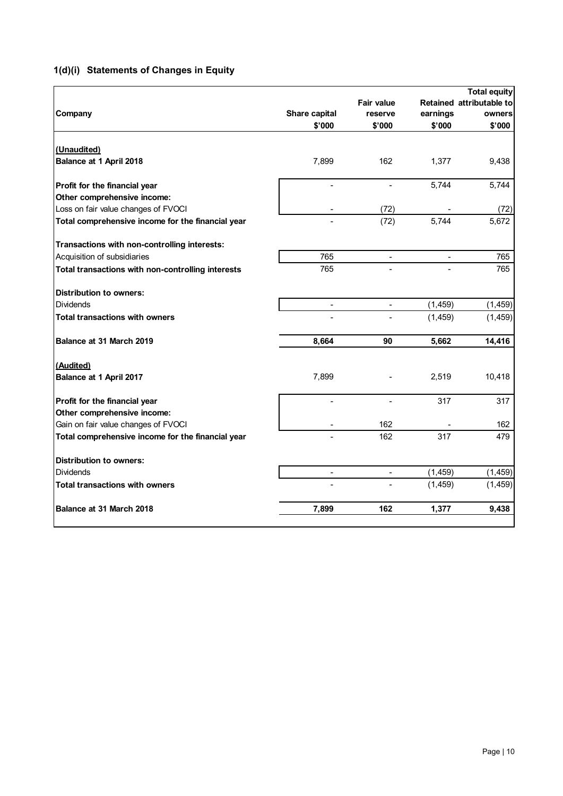# **1(d)(i) Statements of Changes in Equity**

| Company                                           | Share capital  | <b>Fair value</b><br>reserve | earnings | <b>Total equity</b><br>Retained attributable to<br>owners |
|---------------------------------------------------|----------------|------------------------------|----------|-----------------------------------------------------------|
|                                                   | \$'000         | \$'000                       | \$'000   | \$'000                                                    |
| (Unaudited)                                       |                |                              |          |                                                           |
| Balance at 1 April 2018                           | 7,899          | 162                          | 1,377    | 9,438                                                     |
| Profit for the financial year                     | $\overline{a}$ | $\blacksquare$               | 5,744    | 5,744                                                     |
| Other comprehensive income:                       |                |                              |          |                                                           |
| Loss on fair value changes of FVOCI               |                | (72)                         |          | (72)                                                      |
| Total comprehensive income for the financial year |                | (72)                         | 5,744    | 5,672                                                     |
| Transactions with non-controlling interests:      |                |                              |          |                                                           |
| Acquisition of subsidiaries                       | 765            |                              |          | 765                                                       |
| Total transactions with non-controlling interests | 765            |                              |          | 765                                                       |
| <b>Distribution to owners:</b>                    |                |                              |          |                                                           |
| <b>Dividends</b>                                  |                |                              | (1, 459) | (1, 459)                                                  |
| <b>Total transactions with owners</b>             |                |                              | (1, 459) | (1, 459)                                                  |
| Balance at 31 March 2019                          | 8,664          | 90                           | 5,662    | 14,416                                                    |
| (Audited)                                         |                |                              |          |                                                           |
| Balance at 1 April 2017                           | 7,899          |                              | 2,519    | 10,418                                                    |
| Profit for the financial year                     |                |                              | 317      | 317                                                       |
| Other comprehensive income:                       |                |                              |          |                                                           |
| Gain on fair value changes of FVOCI               |                | 162                          |          | 162                                                       |
| Total comprehensive income for the financial year |                | 162                          | 317      | 479                                                       |
| <b>Distribution to owners:</b>                    |                |                              |          |                                                           |
| <b>Dividends</b>                                  | $\blacksquare$ | $\overline{\phantom{a}}$     | (1, 459) | (1, 459)                                                  |
| <b>Total transactions with owners</b>             |                |                              | (1, 459) | (1, 459)                                                  |
| Balance at 31 March 2018                          | 7,899          | 162                          | 1,377    | 9,438                                                     |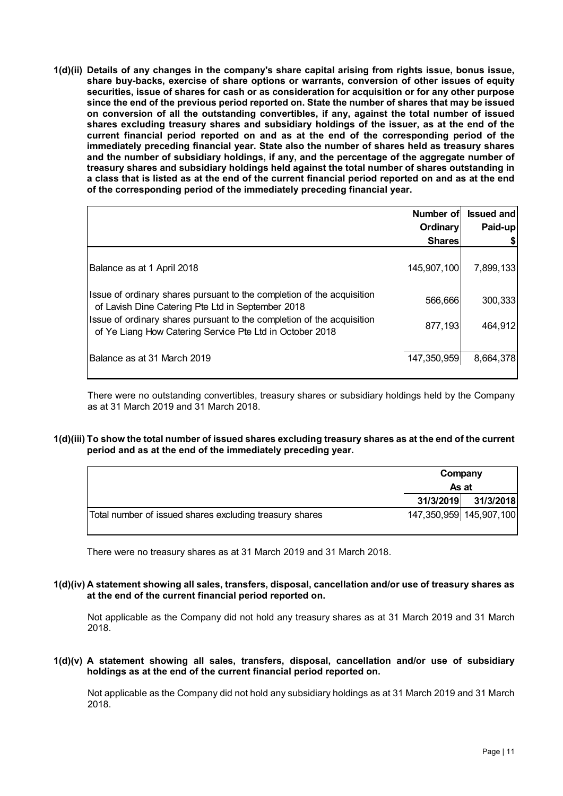**1(d)(ii) Details of any changes in the company's share capital arising from rights issue, bonus issue, share buy-backs, exercise of share options or warrants, conversion of other issues of equity securities, issue of shares for cash or as consideration for acquisition or for any other purpose since the end of the previous period reported on. State the number of shares that may be issued on conversion of all the outstanding convertibles, if any, against the total number of issued shares excluding treasury shares and subsidiary holdings of the issuer, as at the end of the current financial period reported on and as at the end of the corresponding period of the immediately preceding financial year. State also the number of shares held as treasury shares and the number of subsidiary holdings, if any, and the percentage of the aggregate number of treasury shares and subsidiary holdings held against the total number of shares outstanding in a class that is listed as at the end of the current financial period reported on and as at the end of the corresponding period of the immediately preceding financial year.**

|                                                                                                                                    | Number of     | <b>Issued and</b> |
|------------------------------------------------------------------------------------------------------------------------------------|---------------|-------------------|
|                                                                                                                                    | Ordinary      | Paid-up           |
|                                                                                                                                    | <b>Shares</b> |                   |
| Balance as at 1 April 2018                                                                                                         | 145,907,100   | 7,899,133         |
| Issue of ordinary shares pursuant to the completion of the acquisition<br>of Lavish Dine Catering Pte Ltd in September 2018        | 566,666       | 300,333           |
| Issue of ordinary shares pursuant to the completion of the acquisition<br>of Ye Liang How Catering Service Pte Ltd in October 2018 | 877,193       | 464,912           |
| lBalance as at 31 March 2019                                                                                                       | 147,350,959   | 8,664,378         |

There were no outstanding convertibles, treasury shares or subsidiary holdings held by the Company as at 31 March 2019 and 31 March 2018.

#### **1(d)(iii) To show the total number of issued shares excluding treasury shares as at the end of the current period and as at the end of the immediately preceding year.**

|                                                         | Company<br>As at |                         |
|---------------------------------------------------------|------------------|-------------------------|
|                                                         | 31/3/2019        | 31/3/2018               |
| Total number of issued shares excluding treasury shares |                  | 147,350,959 145,907,100 |

There were no treasury shares as at 31 March 2019 and 31 March 2018.

#### **1(d)(iv) A statement showing all sales, transfers, disposal, cancellation and/or use of treasury shares as at the end of the current financial period reported on.**

Not applicable as the Company did not hold any treasury shares as at 31 March 2019 and 31 March 2018.

**1(d)(v) A statement showing all sales, transfers, disposal, cancellation and/or use of subsidiary holdings as at the end of the current financial period reported on.**

Not applicable as the Company did not hold any subsidiary holdings as at 31 March 2019 and 31 March 2018.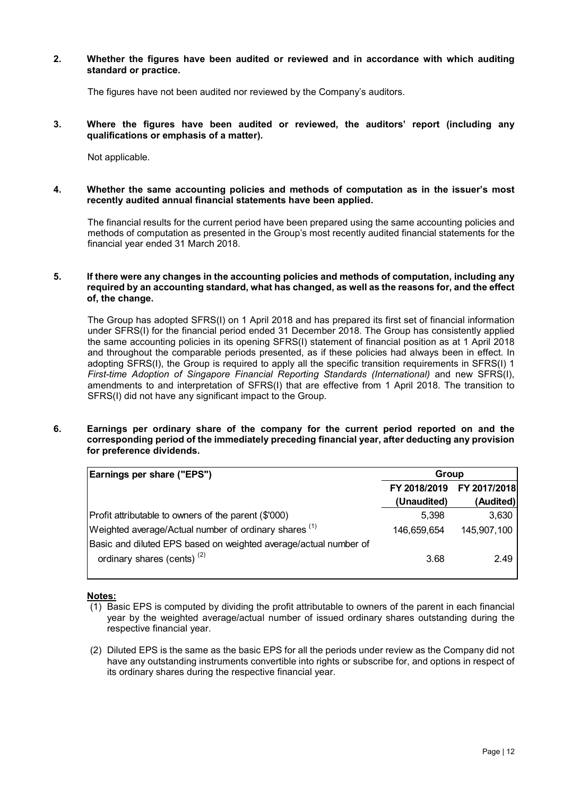#### **2. Whether the figures have been audited or reviewed and in accordance with which auditing standard or practice.**

The figures have not been audited nor reviewed by the Company's auditors.

**3. Where the figures have been audited or reviewed, the auditors' report (including any qualifications or emphasis of a matter).**

Not applicable.

#### **4. Whether the same accounting policies and methods of computation as in the issuer's most recently audited annual financial statements have been applied.**

The financial results for the current period have been prepared using the same accounting policies and methods of computation as presented in the Group's most recently audited financial statements for the financial year ended 31 March 2018.

#### **5. If there were any changes in the accounting policies and methods of computation, including any required by an accounting standard, what has changed, as well as the reasons for, and the effect of, the change.**

The Group has adopted SFRS(I) on 1 April 2018 and has prepared its first set of financial information under SFRS(I) for the financial period ended 31 December 2018. The Group has consistently applied the same accounting policies in its opening SFRS(I) statement of financial position as at 1 April 2018 and throughout the comparable periods presented, as if these policies had always been in effect. In adopting SFRS(I), the Group is required to apply all the specific transition requirements in SFRS(I) 1 *First-time Adoption of Singapore Financial Reporting Standards (International)* and new SFRS(I), amendments to and interpretation of SFRS(I) that are effective from 1 April 2018. The transition to SFRS(I) did not have any significant impact to the Group.

#### **6. Earnings per ordinary share of the company for the current period reported on and the corresponding period of the immediately preceding financial year, after deducting any provision for preference dividends.**

| Group        |              |  |
|--------------|--------------|--|
| FY 2018/2019 | FY 2017/2018 |  |
| (Unaudited)  | (Audited)    |  |
| 5,398        | 3,630        |  |
| 146,659,654  | 145,907,100  |  |
|              |              |  |
| 3.68         | 2.49         |  |
|              |              |  |

## **Notes:**

- (1) Basic EPS is computed by dividing the profit attributable to owners of the parent in each financial year by the weighted average/actual number of issued ordinary shares outstanding during the respective financial year.
- (2) Diluted EPS is the same as the basic EPS for all the periods under review as the Company did not have any outstanding instruments convertible into rights or subscribe for, and options in respect of its ordinary shares during the respective financial year.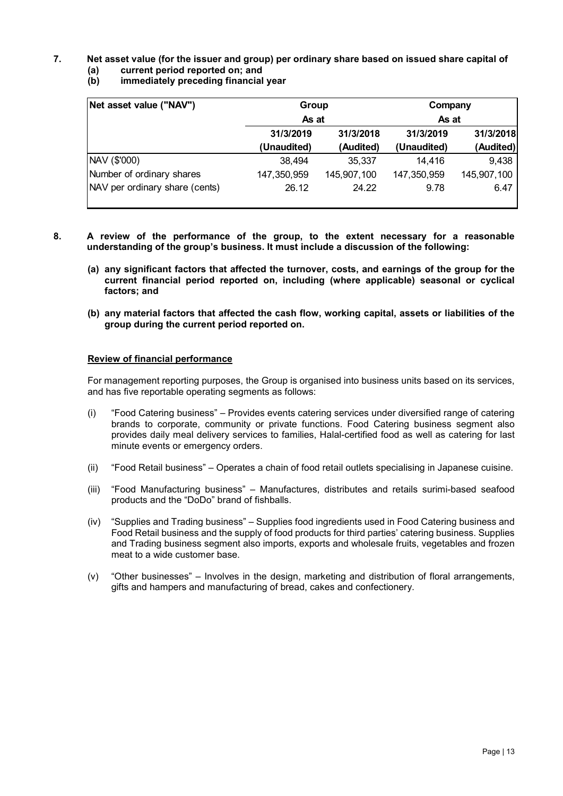# **7. Net asset value (for the issuer and group) per ordinary share based on issued share capital of**

# **(a) current period reported on; and**

**(b) immediately preceding financial year**

| Net asset value ("NAV")        | Group       |             | Company     |             |  |
|--------------------------------|-------------|-------------|-------------|-------------|--|
|                                | As at       |             | As at       |             |  |
|                                | 31/3/2019   | 31/3/2018   | 31/3/2019   | 31/3/2018   |  |
|                                | (Unaudited) | (Audited)   | (Unaudited) | (Audited)   |  |
| NAV (\$'000)                   | 38,494      | 35,337      | 14,416      | 9,438       |  |
| Number of ordinary shares      | 147,350,959 | 145,907,100 | 147,350,959 | 145,907,100 |  |
| NAV per ordinary share (cents) | 26.12       | 24.22       | 9.78        | 6.47        |  |

- **8. A review of the performance of the group, to the extent necessary for a reasonable understanding of the group's business. It must include a discussion of the following:**
	- **(a) any significant factors that affected the turnover, costs, and earnings of the group for the current financial period reported on, including (where applicable) seasonal or cyclical factors; and**
	- **(b) any material factors that affected the cash flow, working capital, assets or liabilities of the group during the current period reported on.**

#### **Review of financial performance**

For management reporting purposes, the Group is organised into business units based on its services, and has five reportable operating segments as follows:

- (i) "Food Catering business" Provides events catering services under diversified range of catering brands to corporate, community or private functions. Food Catering business segment also provides daily meal delivery services to families, Halal-certified food as well as catering for last minute events or emergency orders.
- (ii) "Food Retail business" Operates a chain of food retail outlets specialising in Japanese cuisine.
- (iii) "Food Manufacturing business" Manufactures, distributes and retails surimi-based seafood products and the "DoDo" brand of fishballs.
- (iv) "Supplies and Trading business" Supplies food ingredients used in Food Catering business and Food Retail business and the supply of food products for third parties' catering business. Supplies and Trading business segment also imports, exports and wholesale fruits, vegetables and frozen meat to a wide customer base.
- (v) "Other businesses" Involves in the design, marketing and distribution of floral arrangements, gifts and hampers and manufacturing of bread, cakes and confectionery.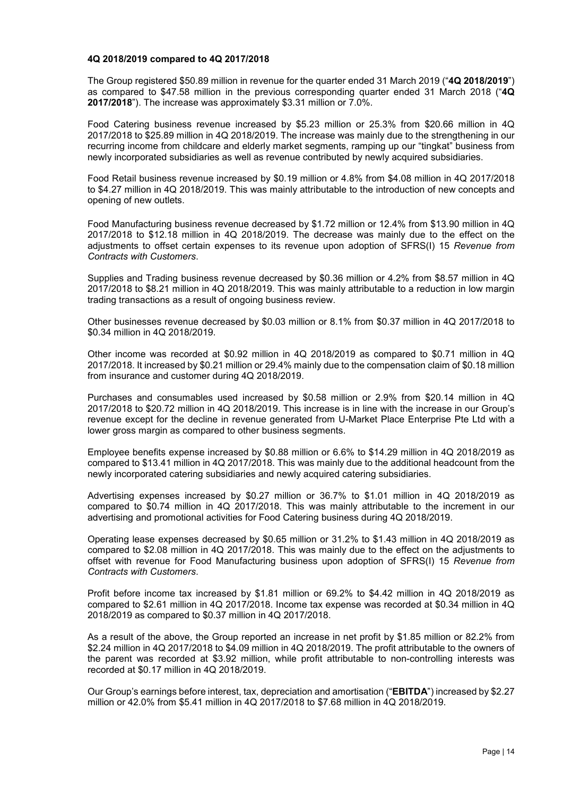#### **4Q 2018/2019 compared to 4Q 2017/2018**

The Group registered \$50.89 million in revenue for the quarter ended 31 March 2019 ("**4Q 2018/2019**") as compared to \$47.58 million in the previous corresponding quarter ended 31 March 2018 ("**4Q 2017/2018**"). The increase was approximately \$3.31 million or 7.0%.

Food Catering business revenue increased by \$5.23 million or 25.3% from \$20.66 million in 4Q 2017/2018 to \$25.89 million in 4Q 2018/2019. The increase was mainly due to the strengthening in our recurring income from childcare and elderly market segments, ramping up our "tingkat" business from newly incorporated subsidiaries as well as revenue contributed by newly acquired subsidiaries.

Food Retail business revenue increased by \$0.19 million or 4.8% from \$4.08 million in 4Q 2017/2018 to \$4.27 million in 4Q 2018/2019. This was mainly attributable to the introduction of new concepts and opening of new outlets.

Food Manufacturing business revenue decreased by \$1.72 million or 12.4% from \$13.90 million in 4Q 2017/2018 to \$12.18 million in 4Q 2018/2019. The decrease was mainly due to the effect on the adjustments to offset certain expenses to its revenue upon adoption of SFRS(I) 15 *Revenue from Contracts with Customers*.

Supplies and Trading business revenue decreased by \$0.36 million or 4.2% from \$8.57 million in 4Q 2017/2018 to \$8.21 million in 4Q 2018/2019. This was mainly attributable to a reduction in low margin trading transactions as a result of ongoing business review.

Other businesses revenue decreased by \$0.03 million or 8.1% from \$0.37 million in 4Q 2017/2018 to \$0.34 million in 4Q 2018/2019.

Other income was recorded at \$0.92 million in 4Q 2018/2019 as compared to \$0.71 million in 4Q 2017/2018. It increased by \$0.21 million or 29.4% mainly due to the compensation claim of \$0.18 million from insurance and customer during 4Q 2018/2019.

Purchases and consumables used increased by \$0.58 million or 2.9% from \$20.14 million in 4Q 2017/2018 to \$20.72 million in 4Q 2018/2019. This increase is in line with the increase in our Group's revenue except for the decline in revenue generated from U-Market Place Enterprise Pte Ltd with a lower gross margin as compared to other business segments.

Employee benefits expense increased by \$0.88 million or 6.6% to \$14.29 million in 4Q 2018/2019 as compared to \$13.41 million in 4Q 2017/2018. This was mainly due to the additional headcount from the newly incorporated catering subsidiaries and newly acquired catering subsidiaries.

Advertising expenses increased by \$0.27 million or 36.7% to \$1.01 million in 4Q 2018/2019 as compared to \$0.74 million in 4Q 2017/2018. This was mainly attributable to the increment in our advertising and promotional activities for Food Catering business during 4Q 2018/2019.

Operating lease expenses decreased by \$0.65 million or 31.2% to \$1.43 million in 4Q 2018/2019 as compared to \$2.08 million in 4Q 2017/2018. This was mainly due to the effect on the adjustments to offset with revenue for Food Manufacturing business upon adoption of SFRS(I) 15 *Revenue from Contracts with Customers*.

Profit before income tax increased by \$1.81 million or 69.2% to \$4.42 million in 4Q 2018/2019 as compared to \$2.61 million in 4Q 2017/2018. Income tax expense was recorded at \$0.34 million in 4Q 2018/2019 as compared to \$0.37 million in 4Q 2017/2018.

As a result of the above, the Group reported an increase in net profit by \$1.85 million or 82.2% from \$2.24 million in 4Q 2017/2018 to \$4.09 million in 4Q 2018/2019. The profit attributable to the owners of the parent was recorded at \$3.92 million, while profit attributable to non-controlling interests was recorded at \$0.17 million in 4Q 2018/2019.

Our Group's earnings before interest, tax, depreciation and amortisation ("**EBITDA**") increased by \$2.27 million or 42.0% from \$5.41 million in 4Q 2017/2018 to \$7.68 million in 4Q 2018/2019.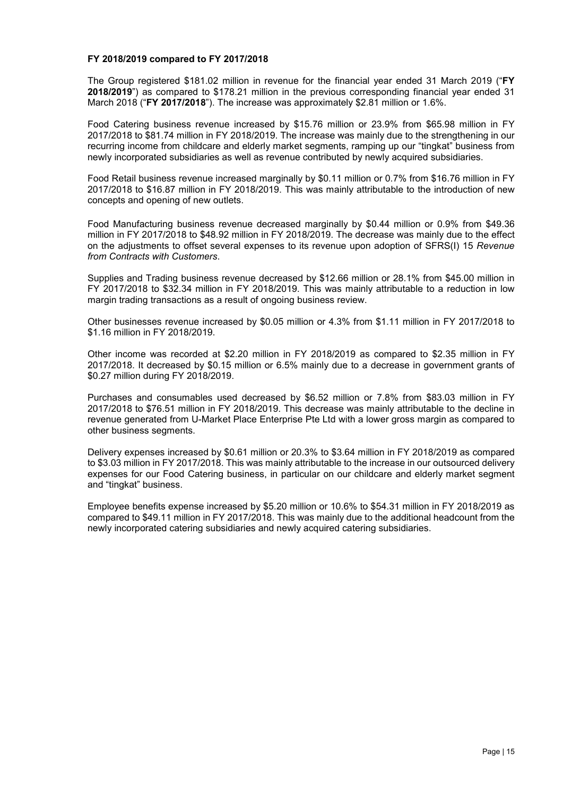#### **FY 2018/2019 compared to FY 2017/2018**

The Group registered \$181.02 million in revenue for the financial year ended 31 March 2019 ("**FY 2018/2019**") as compared to \$178.21 million in the previous corresponding financial year ended 31 March 2018 ("**FY 2017/2018**"). The increase was approximately \$2.81 million or 1.6%.

Food Catering business revenue increased by \$15.76 million or 23.9% from \$65.98 million in FY 2017/2018 to \$81.74 million in FY 2018/2019. The increase was mainly due to the strengthening in our recurring income from childcare and elderly market segments, ramping up our "tingkat" business from newly incorporated subsidiaries as well as revenue contributed by newly acquired subsidiaries.

Food Retail business revenue increased marginally by \$0.11 million or 0.7% from \$16.76 million in FY 2017/2018 to \$16.87 million in FY 2018/2019. This was mainly attributable to the introduction of new concepts and opening of new outlets.

Food Manufacturing business revenue decreased marginally by \$0.44 million or 0.9% from \$49.36 million in FY 2017/2018 to \$48.92 million in FY 2018/2019. The decrease was mainly due to the effect on the adjustments to offset several expenses to its revenue upon adoption of SFRS(I) 15 *Revenue from Contracts with Customers*.

Supplies and Trading business revenue decreased by \$12.66 million or 28.1% from \$45.00 million in FY 2017/2018 to \$32.34 million in FY 2018/2019. This was mainly attributable to a reduction in low margin trading transactions as a result of ongoing business review.

Other businesses revenue increased by \$0.05 million or 4.3% from \$1.11 million in FY 2017/2018 to \$1.16 million in FY 2018/2019.

Other income was recorded at \$2.20 million in FY 2018/2019 as compared to \$2.35 million in FY 2017/2018. It decreased by \$0.15 million or 6.5% mainly due to a decrease in government grants of \$0.27 million during FY 2018/2019.

Purchases and consumables used decreased by \$6.52 million or 7.8% from \$83.03 million in FY 2017/2018 to \$76.51 million in FY 2018/2019. This decrease was mainly attributable to the decline in revenue generated from U-Market Place Enterprise Pte Ltd with a lower gross margin as compared to other business segments.

Delivery expenses increased by \$0.61 million or 20.3% to \$3.64 million in FY 2018/2019 as compared to \$3.03 million in FY 2017/2018. This was mainly attributable to the increase in our outsourced delivery expenses for our Food Catering business, in particular on our childcare and elderly market segment and "tingkat" business.

Employee benefits expense increased by \$5.20 million or 10.6% to \$54.31 million in FY 2018/2019 as compared to \$49.11 million in FY 2017/2018. This was mainly due to the additional headcount from the newly incorporated catering subsidiaries and newly acquired catering subsidiaries.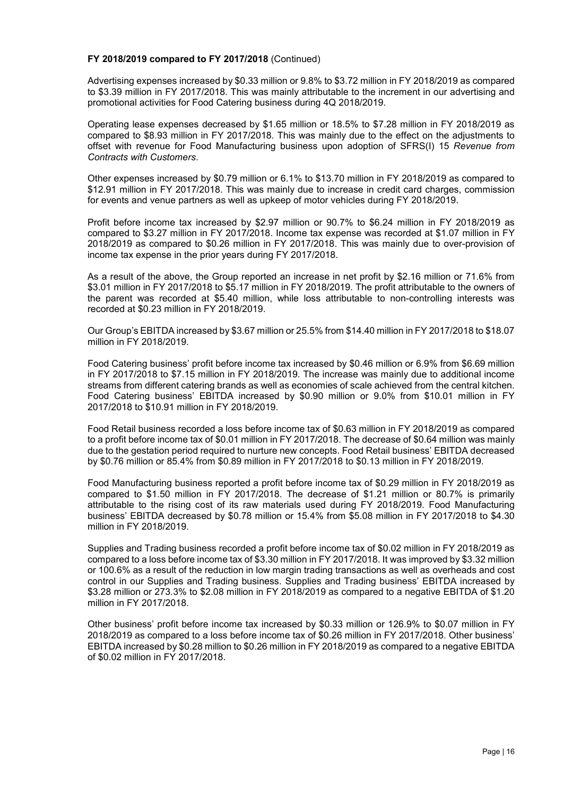#### **FY 2018/2019 compared to FY 2017/2018** (Continued)

Advertising expenses increased by \$0.33 million or 9.8% to \$3.72 million in FY 2018/2019 as compared to \$3.39 million in FY 2017/2018. This was mainly attributable to the increment in our advertising and promotional activities for Food Catering business during 4Q 2018/2019.

Operating lease expenses decreased by \$1.65 million or 18.5% to \$7.28 million in FY 2018/2019 as compared to \$8.93 million in FY 2017/2018. This was mainly due to the effect on the adjustments to offset with revenue for Food Manufacturing business upon adoption of SFRS(I) 15 *Revenue from Contracts with Customers*.

Other expenses increased by \$0.79 million or 6.1% to \$13.70 million in FY 2018/2019 as compared to \$12.91 million in FY 2017/2018. This was mainly due to increase in credit card charges, commission for events and venue partners as well as upkeep of motor vehicles during FY 2018/2019.

Profit before income tax increased by \$2.97 million or 90.7% to \$6.24 million in FY 2018/2019 as compared to \$3.27 million in FY 2017/2018. Income tax expense was recorded at \$1.07 million in FY 2018/2019 as compared to \$0.26 million in FY 2017/2018. This was mainly due to over-provision of income tax expense in the prior years during FY 2017/2018.

As a result of the above, the Group reported an increase in net profit by \$2.16 million or 71.6% from \$3.01 million in FY 2017/2018 to \$5.17 million in FY 2018/2019. The profit attributable to the owners of the parent was recorded at \$5.40 million, while loss attributable to non-controlling interests was recorded at \$0.23 million in FY 2018/2019.

Our Group's EBITDA increased by \$3.67 million or 25.5% from \$14.40 million in FY 2017/2018 to \$18.07 million in FY 2018/2019.

Food Catering business' profit before income tax increased by \$0.46 million or 6.9% from \$6.69 million in FY 2017/2018 to \$7.15 million in FY 2018/2019. The increase was mainly due to additional income streams from different catering brands as well as economies of scale achieved from the central kitchen. Food Catering business' EBITDA increased by \$0.90 million or 9.0% from \$10.01 million in FY 2017/2018 to \$10.91 million in FY 2018/2019.

Food Retail business recorded a loss before income tax of \$0.63 million in FY 2018/2019 as compared to a profit before income tax of \$0.01 million in FY 2017/2018. The decrease of \$0.64 million was mainly due to the gestation period required to nurture new concepts. Food Retail business' EBITDA decreased by \$0.76 million or 85.4% from \$0.89 million in FY 2017/2018 to \$0.13 million in FY 2018/2019.

Food Manufacturing business reported a profit before income tax of \$0.29 million in FY 2018/2019 as compared to \$1.50 million in FY 2017/2018. The decrease of \$1.21 million or 80.7% is primarily attributable to the rising cost of its raw materials used during FY 2018/2019. Food Manufacturing business' EBITDA decreased by \$0.78 million or 15.4% from \$5.08 million in FY 2017/2018 to \$4.30 million in FY 2018/2019.

Supplies and Trading business recorded a profit before income tax of \$0.02 million in FY 2018/2019 as compared to a loss before income tax of \$3.30 million in FY 2017/2018. It was improved by \$3.32 million or 100.6% as a result of the reduction in low margin trading transactions as well as overheads and cost control in our Supplies and Trading business. Supplies and Trading business' EBITDA increased by \$3.28 million or 273.3% to \$2.08 million in FY 2018/2019 as compared to a negative EBITDA of \$1.20 million in FY 2017/2018.

Other business' profit before income tax increased by \$0.33 million or 126.9% to \$0.07 million in FY 2018/2019 as compared to a loss before income tax of \$0.26 million in FY 2017/2018. Other business' EBITDA increased by \$0.28 million to \$0.26 million in FY 2018/2019 as compared to a negative EBITDA of \$0.02 million in FY 2017/2018.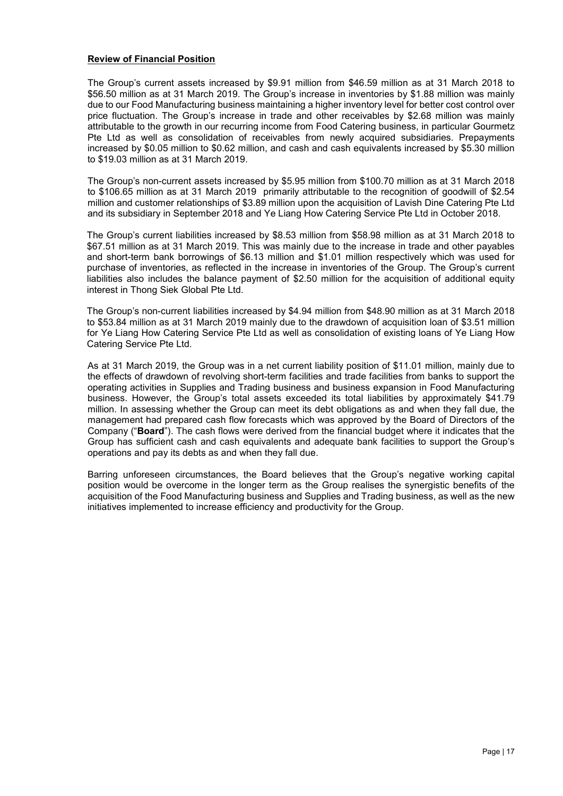#### **Review of Financial Position**

The Group's current assets increased by \$9.91 million from \$46.59 million as at 31 March 2018 to \$56.50 million as at 31 March 2019. The Group's increase in inventories by \$1.88 million was mainly due to our Food Manufacturing business maintaining a higher inventory level for better cost control over price fluctuation. The Group's increase in trade and other receivables by \$2.68 million was mainly attributable to the growth in our recurring income from Food Catering business, in particular Gourmetz Pte Ltd as well as consolidation of receivables from newly acquired subsidiaries. Prepayments increased by \$0.05 million to \$0.62 million, and cash and cash equivalents increased by \$5.30 million to \$19.03 million as at 31 March 2019.

The Group's non-current assets increased by \$5.95 million from \$100.70 million as at 31 March 2018 to \$106.65 million as at 31 March 2019 primarily attributable to the recognition of goodwill of \$2.54 million and customer relationships of \$3.89 million upon the acquisition of Lavish Dine Catering Pte Ltd and its subsidiary in September 2018 and Ye Liang How Catering Service Pte Ltd in October 2018.

The Group's current liabilities increased by \$8.53 million from \$58.98 million as at 31 March 2018 to \$67.51 million as at 31 March 2019. This was mainly due to the increase in trade and other payables and short-term bank borrowings of \$6.13 million and \$1.01 million respectively which was used for purchase of inventories, as reflected in the increase in inventories of the Group. The Group's current liabilities also includes the balance payment of \$2.50 million for the acquisition of additional equity interest in Thong Siek Global Pte Ltd.

The Group's non-current liabilities increased by \$4.94 million from \$48.90 million as at 31 March 2018 to \$53.84 million as at 31 March 2019 mainly due to the drawdown of acquisition loan of \$3.51 million for Ye Liang How Catering Service Pte Ltd as well as consolidation of existing loans of Ye Liang How Catering Service Pte Ltd.

As at 31 March 2019, the Group was in a net current liability position of \$11.01 million, mainly due to the effects of drawdown of revolving short-term facilities and trade facilities from banks to support the operating activities in Supplies and Trading business and business expansion in Food Manufacturing business. However, the Group's total assets exceeded its total liabilities by approximately \$41.79 million. In assessing whether the Group can meet its debt obligations as and when they fall due, the management had prepared cash flow forecasts which was approved by the Board of Directors of the Company ("**Board**"). The cash flows were derived from the financial budget where it indicates that the Group has sufficient cash and cash equivalents and adequate bank facilities to support the Group's operations and pay its debts as and when they fall due.

Barring unforeseen circumstances, the Board believes that the Group's negative working capital position would be overcome in the longer term as the Group realises the synergistic benefits of the acquisition of the Food Manufacturing business and Supplies and Trading business, as well as the new initiatives implemented to increase efficiency and productivity for the Group.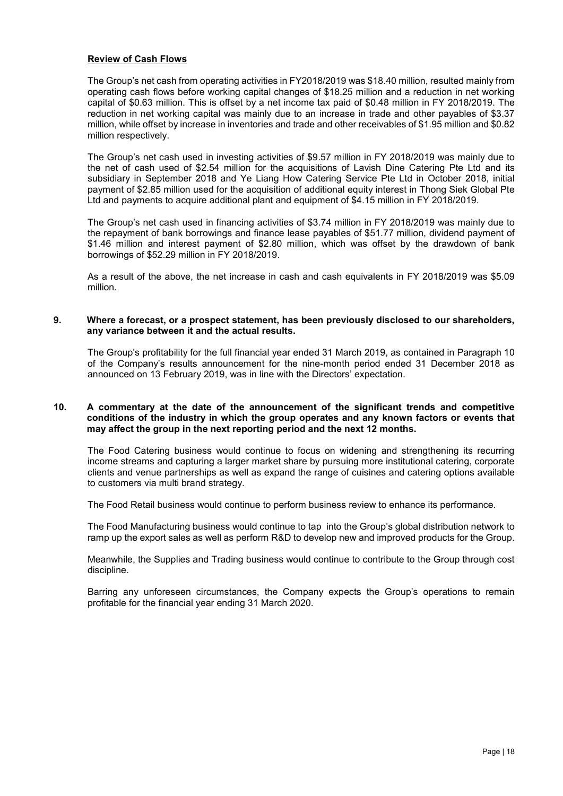#### **Review of Cash Flows**

The Group's net cash from operating activities in FY2018/2019 was \$18.40 million, resulted mainly from operating cash flows before working capital changes of \$18.25 million and a reduction in net working capital of \$0.63 million. This is offset by a net income tax paid of \$0.48 million in FY 2018/2019. The reduction in net working capital was mainly due to an increase in trade and other payables of \$3.37 million, while offset by increase in inventories and trade and other receivables of \$1.95 million and \$0.82 million respectively.

The Group's net cash used in investing activities of \$9.57 million in FY 2018/2019 was mainly due to the net of cash used of \$2.54 million for the acquisitions of Lavish Dine Catering Pte Ltd and its subsidiary in September 2018 and Ye Liang How Catering Service Pte Ltd in October 2018, initial payment of \$2.85 million used for the acquisition of additional equity interest in Thong Siek Global Pte Ltd and payments to acquire additional plant and equipment of \$4.15 million in FY 2018/2019.

The Group's net cash used in financing activities of \$3.74 million in FY 2018/2019 was mainly due to the repayment of bank borrowings and finance lease payables of \$51.77 million, dividend payment of \$1.46 million and interest payment of \$2.80 million, which was offset by the drawdown of bank borrowings of \$52.29 million in FY 2018/2019.

As a result of the above, the net increase in cash and cash equivalents in FY 2018/2019 was \$5.09 million.

#### **9. Where a forecast, or a prospect statement, has been previously disclosed to our shareholders, any variance between it and the actual results.**

The Group's profitability for the full financial year ended 31 March 2019, as contained in Paragraph 10 of the Company's results announcement for the nine-month period ended 31 December 2018 as announced on 13 February 2019, was in line with the Directors' expectation.

#### **10. A commentary at the date of the announcement of the significant trends and competitive conditions of the industry in which the group operates and any known factors or events that may affect the group in the next reporting period and the next 12 months.**

The Food Catering business would continue to focus on widening and strengthening its recurring income streams and capturing a larger market share by pursuing more institutional catering, corporate clients and venue partnerships as well as expand the range of cuisines and catering options available to customers via multi brand strategy.

The Food Retail business would continue to perform business review to enhance its performance.

The Food Manufacturing business would continue to tap into the Group's global distribution network to ramp up the export sales as well as perform R&D to develop new and improved products for the Group.

Meanwhile, the Supplies and Trading business would continue to contribute to the Group through cost discipline.

Barring any unforeseen circumstances, the Company expects the Group's operations to remain profitable for the financial year ending 31 March 2020.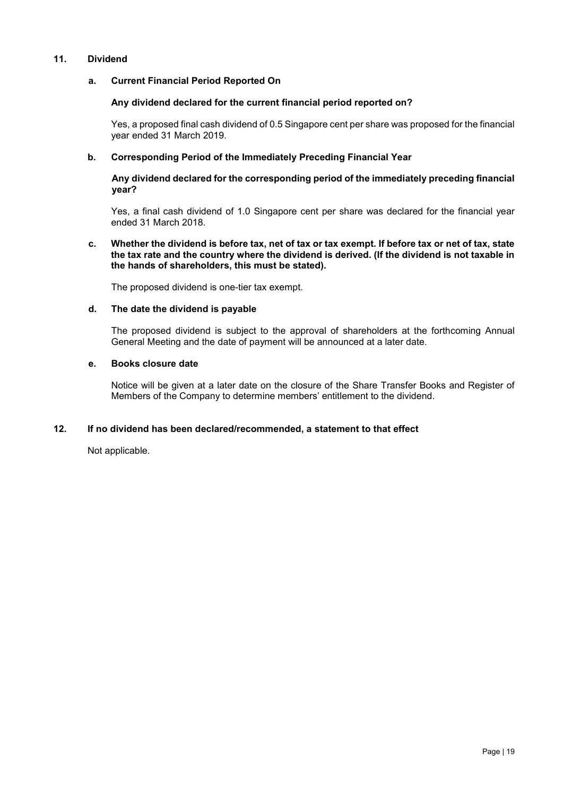## **11. Dividend**

#### **a. Current Financial Period Reported On**

#### **Any dividend declared for the current financial period reported on?**

Yes, a proposed final cash dividend of 0.5 Singapore cent per share was proposed for the financial year ended 31 March 2019.

#### **b. Corresponding Period of the Immediately Preceding Financial Year**

#### **Any dividend declared for the corresponding period of the immediately preceding financial year?**

Yes, a final cash dividend of 1.0 Singapore cent per share was declared for the financial year ended 31 March 2018.

#### **c. Whether the dividend is before tax, net of tax or tax exempt. If before tax or net of tax, state the tax rate and the country where the dividend is derived. (If the dividend is not taxable in the hands of shareholders, this must be stated).**

The proposed dividend is one-tier tax exempt.

#### **d. The date the dividend is payable**

The proposed dividend is subject to the approval of shareholders at the forthcoming Annual General Meeting and the date of payment will be announced at a later date.

#### **e. Books closure date**

Notice will be given at a later date on the closure of the Share Transfer Books and Register of Members of the Company to determine members' entitlement to the dividend.

## **12. If no dividend has been declared/recommended, a statement to that effect**

Not applicable.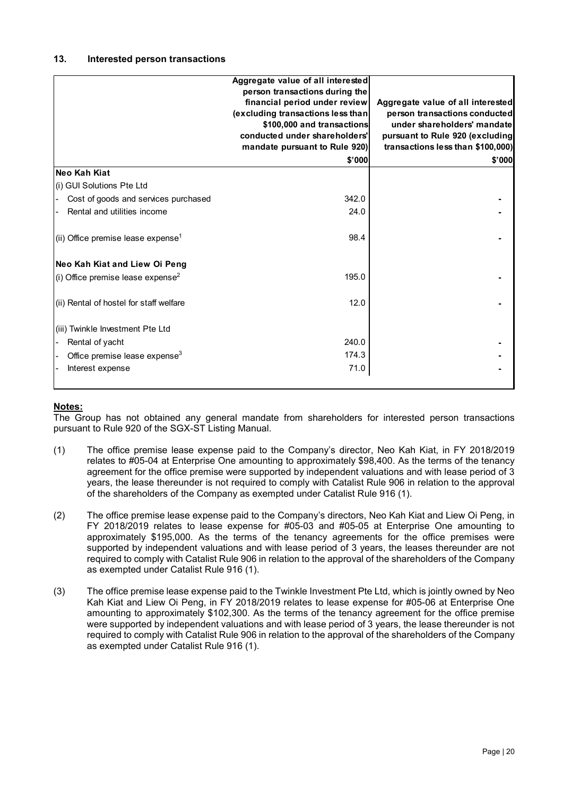|                                                | Aggregate value of all interested<br>person transactions during the<br>financial period under review<br>(excluding transactions less than<br>\$100,000 and transactions<br>conducted under shareholders'<br>mandate pursuant to Rule 920)<br>\$'000 | Aggregate value of all interested<br>person transactions conducted<br>under shareholders' mandate<br>pursuant to Rule 920 (excluding<br>transactions less than \$100,000)<br>\$'000 |
|------------------------------------------------|-----------------------------------------------------------------------------------------------------------------------------------------------------------------------------------------------------------------------------------------------------|-------------------------------------------------------------------------------------------------------------------------------------------------------------------------------------|
| Neo Kah Kiat                                   |                                                                                                                                                                                                                                                     |                                                                                                                                                                                     |
| (i) GUI Solutions Pte Ltd                      |                                                                                                                                                                                                                                                     |                                                                                                                                                                                     |
| Cost of goods and services purchased           | 342.0                                                                                                                                                                                                                                               |                                                                                                                                                                                     |
| Rental and utilities income                    | 24.0                                                                                                                                                                                                                                                |                                                                                                                                                                                     |
| (ii) Office premise lease expense <sup>1</sup> | 98.4                                                                                                                                                                                                                                                |                                                                                                                                                                                     |
| Neo Kah Kiat and Liew Oi Peng                  |                                                                                                                                                                                                                                                     |                                                                                                                                                                                     |
| (i) Office premise lease expense <sup>2</sup>  | 195.0                                                                                                                                                                                                                                               |                                                                                                                                                                                     |
| (ii) Rental of hostel for staff welfare        | 12.0                                                                                                                                                                                                                                                |                                                                                                                                                                                     |
| (iii) Twinkle Investment Pte Ltd               |                                                                                                                                                                                                                                                     |                                                                                                                                                                                     |
| Rental of yacht                                | 240.0                                                                                                                                                                                                                                               |                                                                                                                                                                                     |
| Office premise lease expense <sup>3</sup>      | 174.3                                                                                                                                                                                                                                               |                                                                                                                                                                                     |
| Interest expense                               | 71.0                                                                                                                                                                                                                                                |                                                                                                                                                                                     |
|                                                |                                                                                                                                                                                                                                                     |                                                                                                                                                                                     |

## **Notes:**

The Group has not obtained any general mandate from shareholders for interested person transactions pursuant to Rule 920 of the SGX-ST Listing Manual.

- (1) The office premise lease expense paid to the Company's director, Neo Kah Kiat, in FY 2018/2019 relates to #05-04 at Enterprise One amounting to approximately \$98,400. As the terms of the tenancy agreement for the office premise were supported by independent valuations and with lease period of 3 years, the lease thereunder is not required to comply with Catalist Rule 906 in relation to the approval of the shareholders of the Company as exempted under Catalist Rule 916 (1).
- (2) The office premise lease expense paid to the Company's directors, Neo Kah Kiat and Liew Oi Peng, in FY 2018/2019 relates to lease expense for #05-03 and #05-05 at Enterprise One amounting to approximately \$195,000. As the terms of the tenancy agreements for the office premises were supported by independent valuations and with lease period of 3 years, the leases thereunder are not required to comply with Catalist Rule 906 in relation to the approval of the shareholders of the Company as exempted under Catalist Rule 916 (1).
- (3) The office premise lease expense paid to the Twinkle Investment Pte Ltd, which is jointly owned by Neo Kah Kiat and Liew Oi Peng, in FY 2018/2019 relates to lease expense for #05-06 at Enterprise One amounting to approximately \$102,300. As the terms of the tenancy agreement for the office premise were supported by independent valuations and with lease period of 3 years, the lease thereunder is not required to comply with Catalist Rule 906 in relation to the approval of the shareholders of the Company as exempted under Catalist Rule 916 (1).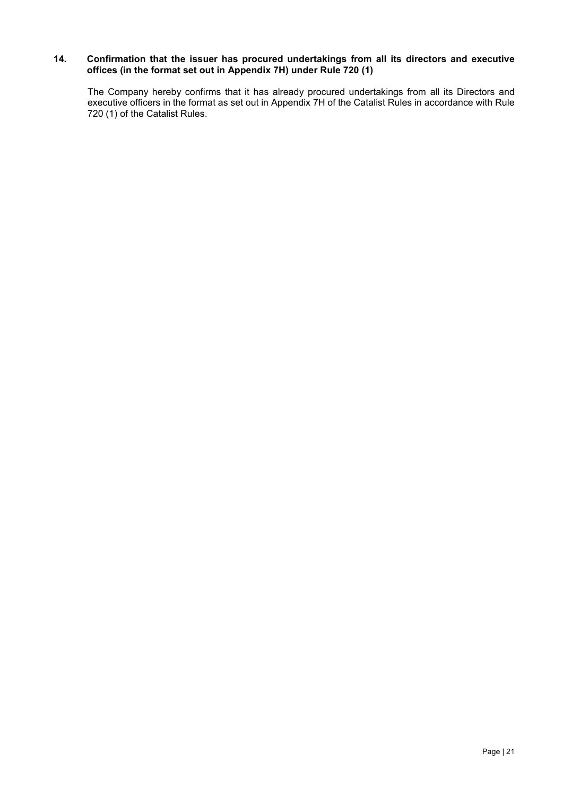#### **14. Confirmation that the issuer has procured undertakings from all its directors and executive offices (in the format set out in Appendix 7H) under Rule 720 (1)**

The Company hereby confirms that it has already procured undertakings from all its Directors and executive officers in the format as set out in Appendix 7H of the Catalist Rules in accordance with Rule 720 (1) of the Catalist Rules.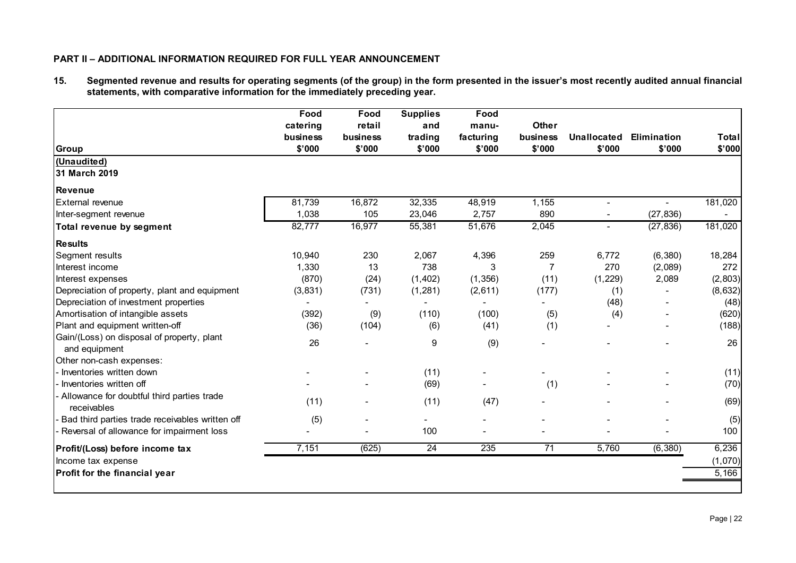## **PART II – ADDITIONAL INFORMATION REQUIRED FOR FULL YEAR ANNOUNCEMENT**

**15. Segmented revenue and results for operating segments (of the group) in the form presented in the issuer's most recently audited annual financial statements, with comparative information for the immediately preceding year.**

|         |        |                          | \$'000   | \$'000          | \$'000                   | \$'000         | <b>Total</b><br>\$'000 |
|---------|--------|--------------------------|----------|-----------------|--------------------------|----------------|------------------------|
|         |        |                          |          |                 |                          |                |                        |
|         |        |                          |          |                 |                          |                |                        |
|         |        |                          |          |                 |                          |                |                        |
| 81,739  | 16,872 | 32,335                   | 48,919   | 1,155           | $\blacksquare$           | $\blacksquare$ | 181,020                |
| 1,038   | 105    | 23,046                   | 2,757    | 890             | $\blacksquare$           | (27, 836)      |                        |
| 82,777  | 16,977 | 55,381                   | 51,676   | 2,045           | $\overline{\phantom{a}}$ | (27, 836)      | 181,020                |
|         |        |                          |          |                 |                          |                |                        |
| 10,940  | 230    | 2,067                    | 4,396    | 259             | 6,772                    | (6, 380)       | 18,284                 |
| 1,330   | 13     | 738                      |          | 7               | 270                      | (2,089)        | 272                    |
| (870)   | (24)   | (1, 402)                 | (1, 356) | (11)            | (1, 229)                 | 2,089          | (2,803)                |
| (3,831) | (731)  | (1, 281)                 | (2,611)  | (177)           | (1)                      |                | (8,632)                |
|         |        | $\overline{\phantom{a}}$ |          |                 | (48)                     |                | (48)                   |
| (392)   | (9)    | (110)                    | (100)    | (5)             | (4)                      |                | (620)                  |
| (36)    | (104)  | (6)                      | (41)     | (1)             |                          |                | (188)                  |
| 26      |        | 9                        | (9)      |                 |                          |                | 26                     |
|         |        |                          |          |                 |                          |                |                        |
|         |        | (11)                     |          |                 |                          |                | (11)                   |
|         |        | (69)                     |          |                 |                          |                | (70)                   |
| (11)    |        | (11)                     | (47)     |                 |                          |                | (69)                   |
| (5)     |        |                          |          |                 |                          |                | (5)                    |
|         |        | 100                      |          |                 |                          |                | 100                    |
| 7,151   | (625)  | $\overline{24}$          | 235      | $\overline{71}$ | 5,760                    | (6, 380)       | 6,236                  |
|         |        |                          |          |                 |                          |                | (1,070)                |
|         |        |                          |          |                 |                          |                | 5,166                  |
|         |        |                          |          |                 | (1)                      |                |                        |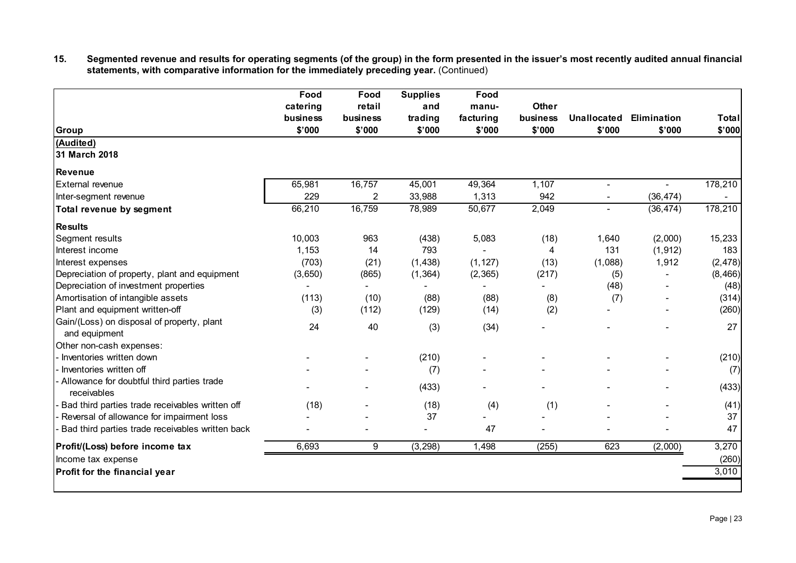**15. Segmented revenue and results for operating segments (of the group) in the form presented in the issuer's most recently audited annual financial statements, with comparative information for the immediately preceding year.** (Continued)

| <b>Group</b>                                                | Food<br>catering<br>business<br>\$'000 | Food<br>retail<br>business<br>\$'000 | <b>Supplies</b><br>and<br>trading<br>\$'000 | Food<br>manu-<br>facturing<br>\$'000 | Other<br>business<br>\$'000 | <b>Unallocated</b><br>\$'000 | Elimination<br>\$'000 | <b>Total</b><br>\$'000 |
|-------------------------------------------------------------|----------------------------------------|--------------------------------------|---------------------------------------------|--------------------------------------|-----------------------------|------------------------------|-----------------------|------------------------|
| (Audited)                                                   |                                        |                                      |                                             |                                      |                             |                              |                       |                        |
| 31 March 2018                                               |                                        |                                      |                                             |                                      |                             |                              |                       |                        |
| <b>Revenue</b>                                              |                                        |                                      |                                             |                                      |                             |                              |                       |                        |
| External revenue                                            | 65,981                                 | 16,757                               | 45,001                                      | 49,364                               | 1,107                       | $\sim$                       | ÷.                    | 178,210                |
| Inter-segment revenue                                       | 229                                    | 2                                    | 33,988                                      | 1,313                                | 942                         |                              | (36, 474)             |                        |
| Total revenue by segment                                    | 66,210                                 | 16,759                               | 78,989                                      | 50,677                               | 2,049                       | $\blacksquare$               | (36, 474)             | 178,210                |
| <b>Results</b>                                              |                                        |                                      |                                             |                                      |                             |                              |                       |                        |
| Segment results                                             | 10,003                                 | 963                                  | (438)                                       | 5,083                                | (18)                        | 1,640                        | (2,000)               | 15,233                 |
| Interest income                                             | 1,153                                  | 14                                   | 793                                         |                                      | 4                           | 131                          | (1, 912)              | 183                    |
| Interest expenses                                           | (703)                                  | (21)                                 | (1, 438)                                    | (1, 127)                             | (13)                        | (1,088)                      | 1,912                 | (2, 478)               |
| Depreciation of property, plant and equipment               | (3,650)                                | (865)                                | (1, 364)                                    | (2, 365)                             | (217)                       | (5)                          |                       | (8, 466)               |
| Depreciation of investment properties                       |                                        |                                      |                                             |                                      |                             | (48)                         |                       | (48)                   |
| Amortisation of intangible assets                           | (113)                                  | (10)                                 | (88)                                        | (88)                                 | (8)                         | (7)                          |                       | (314)                  |
| Plant and equipment written-off                             | (3)                                    | (112)                                | (129)                                       | (14)                                 | (2)                         |                              |                       | (260)                  |
| Gain/(Loss) on disposal of property, plant<br>and equipment | 24                                     | 40                                   | (3)                                         | (34)                                 |                             |                              |                       | 27                     |
| Other non-cash expenses:                                    |                                        |                                      |                                             |                                      |                             |                              |                       |                        |
| Inventories written down                                    |                                        |                                      | (210)                                       |                                      |                             |                              |                       | (210)                  |
| Inventories written off                                     |                                        |                                      | (7)                                         |                                      |                             |                              |                       | (7)                    |
| - Allowance for doubtful third parties trade<br>receivables |                                        |                                      | (433)                                       |                                      |                             |                              |                       | (433)                  |
| Bad third parties trade receivables written off             | (18)                                   |                                      | (18)                                        | (4)                                  | (1)                         |                              |                       | (41)                   |
| Reversal of allowance for impairment loss                   |                                        |                                      | 37                                          |                                      |                             |                              |                       | 37                     |
| Bad third parties trade receivables written back            |                                        |                                      |                                             | 47                                   |                             |                              |                       | 47                     |
| Profit/(Loss) before income tax                             | 6,693                                  | 9                                    | (3, 298)                                    | 1,498                                | (255)                       | 623                          | (2,000)               | 3,270                  |
| Income tax expense                                          |                                        |                                      |                                             |                                      |                             |                              |                       | (260)                  |
| Profit for the financial year                               |                                        |                                      |                                             |                                      |                             |                              |                       | 3,010                  |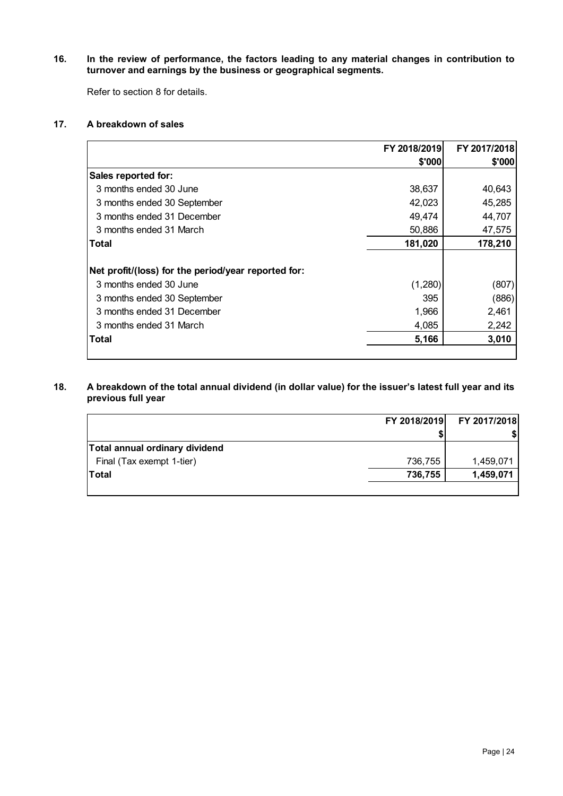**16. In the review of performance, the factors leading to any material changes in contribution to turnover and earnings by the business or geographical segments.**

Refer to section 8 for details.

## **17. A breakdown of sales**

|                                                     | FY 2018/2019 | FY 2017/2018 |
|-----------------------------------------------------|--------------|--------------|
|                                                     | \$'000       | \$'000       |
| Sales reported for:                                 |              |              |
| 3 months ended 30 June                              | 38,637       | 40,643       |
| 3 months ended 30 September                         | 42,023       | 45,285       |
| 3 months ended 31 December                          | 49,474       | 44,707       |
| 3 months ended 31 March                             | 50,886       | 47,575       |
| Total                                               | 181,020      | 178,210      |
|                                                     |              |              |
| Net profit/(loss) for the period/year reported for: |              |              |
| 3 months ended 30 June                              | (1,280)      | (807)        |
| 3 months ended 30 September                         | 395          | (886)        |
| 3 months ended 31 December                          | 1,966        | 2,461        |
| 3 months ended 31 March                             | 4,085        | 2,242        |
| <b>Total</b>                                        | 5,166        | 3,010        |
|                                                     |              |              |

#### **18. A breakdown of the total annual dividend (in dollar value) for the issuer's latest full year and its previous full year**

|                                | FY 2018/2019 | FY 2017/2018 |
|--------------------------------|--------------|--------------|
|                                |              |              |
| Total annual ordinary dividend |              |              |
| Final (Tax exempt 1-tier)      | 736,755      | 1,459,071    |
| <b>Total</b>                   | 736,755      | 1,459,071    |
|                                |              |              |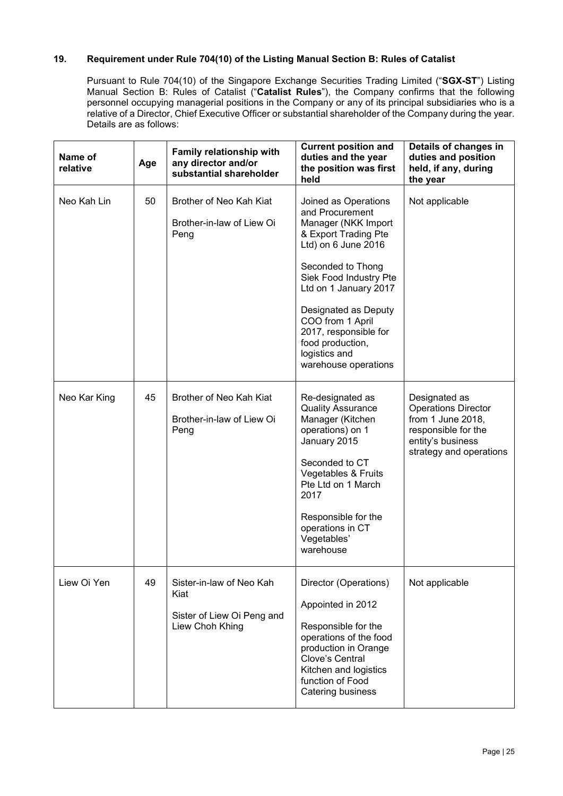## **19. Requirement under Rule 704(10) of the Listing Manual Section B: Rules of Catalist**

Pursuant to Rule 704(10) of the Singapore Exchange Securities Trading Limited ("**SGX-ST**") Listing Manual Section B: Rules of Catalist ("Catalist Rules"), the Company confirms that the following personnel occupying managerial positions in the Company or any of its principal subsidiaries who is a relative of a Director, Chief Executive Officer or substantial shareholder of the Company during the year. Details are as follows:

| Name of<br>relative | Age | Family relationship with<br>any director and/or<br>substantial shareholder        | <b>Current position and</b><br>duties and the year<br>the position was first<br>held                                                                                                                                                                                                                                    | Details of changes in<br>duties and position<br>held, if any, during<br>the year                                                        |
|---------------------|-----|-----------------------------------------------------------------------------------|-------------------------------------------------------------------------------------------------------------------------------------------------------------------------------------------------------------------------------------------------------------------------------------------------------------------------|-----------------------------------------------------------------------------------------------------------------------------------------|
| Neo Kah Lin         | 50  | Brother of Neo Kah Kiat<br>Brother-in-law of Liew Oi<br>Peng                      | Joined as Operations<br>and Procurement<br>Manager (NKK Import<br>& Export Trading Pte<br>Ltd) on 6 June 2016<br>Seconded to Thong<br>Siek Food Industry Pte<br>Ltd on 1 January 2017<br>Designated as Deputy<br>COO from 1 April<br>2017, responsible for<br>food production,<br>logistics and<br>warehouse operations | Not applicable                                                                                                                          |
| Neo Kar King        | 45  | Brother of Neo Kah Kiat<br>Brother-in-law of Liew Oi<br>Peng                      | Re-designated as<br><b>Quality Assurance</b><br>Manager (Kitchen<br>operations) on 1<br>January 2015<br>Seconded to CT<br>Vegetables & Fruits<br>Pte Ltd on 1 March<br>2017<br>Responsible for the<br>operations in CT<br>Vegetables'<br>warehouse                                                                      | Designated as<br><b>Operations Director</b><br>from 1 June 2018,<br>responsible for the<br>entity's business<br>strategy and operations |
| Liew Oi Yen         | 49  | Sister-in-law of Neo Kah<br>Kiat<br>Sister of Liew Oi Peng and<br>Liew Choh Khing | Director (Operations)<br>Appointed in 2012<br>Responsible for the<br>operations of the food<br>production in Orange<br>Clove's Central<br>Kitchen and logistics<br>function of Food<br>Catering business                                                                                                                | Not applicable                                                                                                                          |